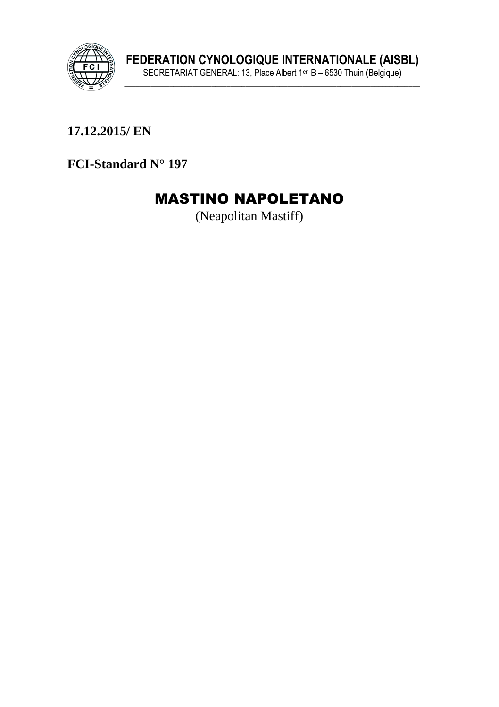

17.12.2015/EN

FCI-Standard N° 197

# **MASTINO NAPOLETANO**

(Neapolitan Mastiff)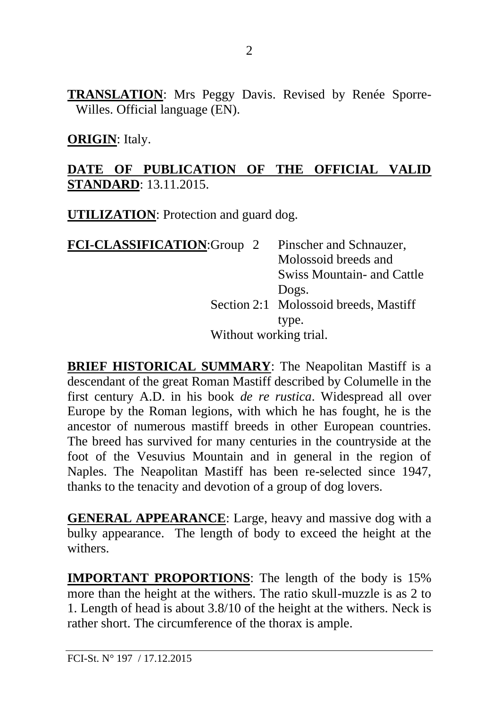**TRANSLATION**: Mrs Peggy Davis. Revised by Renée Sporre-Willes. Official language (EN).

#### **ORIGIN**: Italy.

#### **DATE OF PUBLICATION OF THE OFFICIAL VALID STANDARD**: 13.11.2015.

**UTILIZATION**: Protection and guard dog.

| FCI-CLASSIFICATION:Group 2 |  | Pinscher and Schnauzer,               |
|----------------------------|--|---------------------------------------|
|                            |  | Molossoid breeds and                  |
|                            |  | Swiss Mountain- and Cattle            |
|                            |  | Dogs.                                 |
|                            |  | Section 2:1 Molossoid breeds, Mastiff |
|                            |  | type.                                 |
| Without working trial.     |  |                                       |

**BRIEF HISTORICAL SUMMARY**: The Neapolitan Mastiff is a descendant of the great Roman Mastiff described by Columelle in the first century A.D. in his book *de re rustica*. Widespread all over Europe by the Roman legions, with which he has fought, he is the ancestor of numerous mastiff breeds in other European countries. The breed has survived for many centuries in the countryside at the foot of the Vesuvius Mountain and in general in the region of Naples. The Neapolitan Mastiff has been re-selected since 1947, thanks to the tenacity and devotion of a group of dog lovers.

**GENERAL APPEARANCE**: Large, heavy and massive dog with a bulky appearance. The length of body to exceed the height at the withers.

**IMPORTANT PROPORTIONS**: The length of the body is 15% more than the height at the withers. The ratio skull-muzzle is as 2 to 1. Length of head is about 3.8/10 of the height at the withers. Neck is rather short. The circumference of the thorax is ample.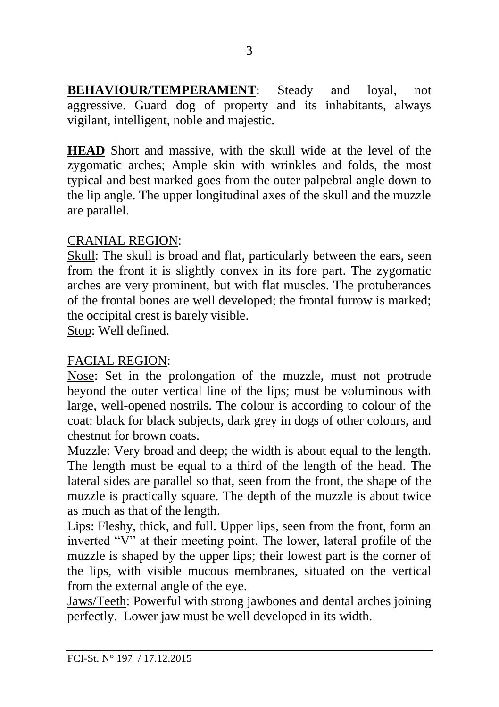**BEHAVIOUR/TEMPERAMENT**: Steady and loyal, not aggressive. Guard dog of property and its inhabitants, always vigilant, intelligent, noble and majestic.

**HEAD** Short and massive, with the skull wide at the level of the zygomatic arches; Ample skin with wrinkles and folds, the most typical and best marked goes from the outer palpebral angle down to the lip angle. The upper longitudinal axes of the skull and the muzzle are parallel.

#### CRANIAL REGION:

Skull: The skull is broad and flat, particularly between the ears, seen from the front it is slightly convex in its fore part. The zygomatic arches are very prominent, but with flat muscles. The protuberances of the frontal bones are well developed; the frontal furrow is marked; the occipital crest is barely visible.

Stop: Well defined.

## FACIAL REGION:

Nose: Set in the prolongation of the muzzle, must not protrude beyond the outer vertical line of the lips; must be voluminous with large, well-opened nostrils. The colour is according to colour of the coat: black for black subjects, dark grey in dogs of other colours, and chestnut for brown coats.

Muzzle: Very broad and deep; the width is about equal to the length. The length must be equal to a third of the length of the head. The lateral sides are parallel so that, seen from the front, the shape of the muzzle is practically square. The depth of the muzzle is about twice as much as that of the length.

Lips: Fleshy, thick, and full. Upper lips, seen from the front, form an inverted "V" at their meeting point. The lower, lateral profile of the muzzle is shaped by the upper lips; their lowest part is the corner of the lips, with visible mucous membranes, situated on the vertical from the external angle of the eye.

Jaws/Teeth: Powerful with strong jawbones and dental arches joining perfectly. Lower jaw must be well developed in its width.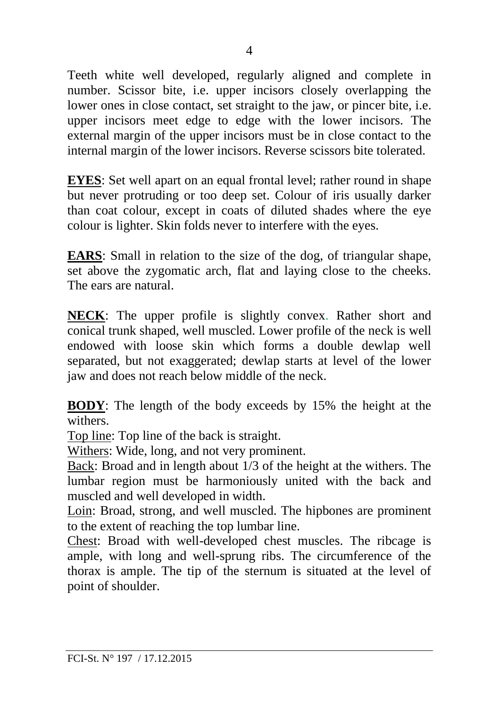Teeth white well developed, regularly aligned and complete in number. Scissor bite, i.e. upper incisors closely overlapping the lower ones in close contact, set straight to the jaw, or pincer bite, i.e. upper incisors meet edge to edge with the lower incisors. The external margin of the upper incisors must be in close contact to the internal margin of the lower incisors. Reverse scissors bite tolerated.

**EYES**: Set well apart on an equal frontal level; rather round in shape but never protruding or too deep set. Colour of iris usually darker than coat colour, except in coats of diluted shades where the eye colour is lighter. Skin folds never to interfere with the eyes.

**EARS**: Small in relation to the size of the dog, of triangular shape, set above the zygomatic arch, flat and laying close to the cheeks. The ears are natural.

**NECK**: The upper profile is slightly convex. Rather short and conical trunk shaped, well muscled. Lower profile of the neck is well endowed with loose skin which forms a double dewlap well separated, but not exaggerated; dewlap starts at level of the lower jaw and does not reach below middle of the neck.

**BODY**: The length of the body exceeds by 15% the height at the withers.

Top line: Top line of the back is straight.

Withers: Wide, long, and not very prominent.

Back: Broad and in length about 1/3 of the height at the withers. The lumbar region must be harmoniously united with the back and muscled and well developed in width.

Loin: Broad, strong, and well muscled. The hipbones are prominent to the extent of reaching the top lumbar line.

Chest: Broad with well-developed chest muscles. The ribcage is ample, with long and well-sprung ribs. The circumference of the thorax is ample. The tip of the sternum is situated at the level of point of shoulder.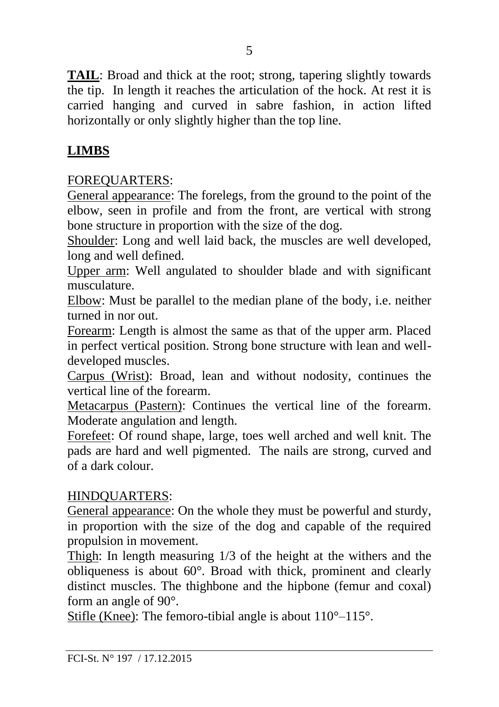**TAIL**: Broad and thick at the root; strong, tapering slightly towards the tip. In length it reaches the articulation of the hock. At rest it is carried hanging and curved in sabre fashion, in action lifted horizontally or only slightly higher than the top line.

## **LIMBS**

### FOREQUARTERS:

General appearance: The forelegs, from the ground to the point of the elbow, seen in profile and from the front, are vertical with strong bone structure in proportion with the size of the dog.

Shoulder: Long and well laid back, the muscles are well developed, long and well defined.

Upper arm: Well angulated to shoulder blade and with significant musculature.

Elbow: Must be parallel to the median plane of the body, i.e. neither turned in nor out.

Forearm: Length is almost the same as that of the upper arm. Placed in perfect vertical position. Strong bone structure with lean and welldeveloped muscles.

Carpus (Wrist): Broad, lean and without nodosity, continues the vertical line of the forearm.

Metacarpus (Pastern): Continues the vertical line of the forearm. Moderate angulation and length.

Forefeet: Of round shape, large, toes well arched and well knit. The pads are hard and well pigmented. The nails are strong, curved and of a dark colour.

#### HINDQUARTERS:

General appearance: On the whole they must be powerful and sturdy, in proportion with the size of the dog and capable of the required propulsion in movement.

Thigh: In length measuring 1/3 of the height at the withers and the obliqueness is about 60°. Broad with thick, prominent and clearly distinct muscles. The thighbone and the hipbone (femur and coxal) form an angle of 90°.

Stifle (Knee): The femoro-tibial angle is about 110°–115°.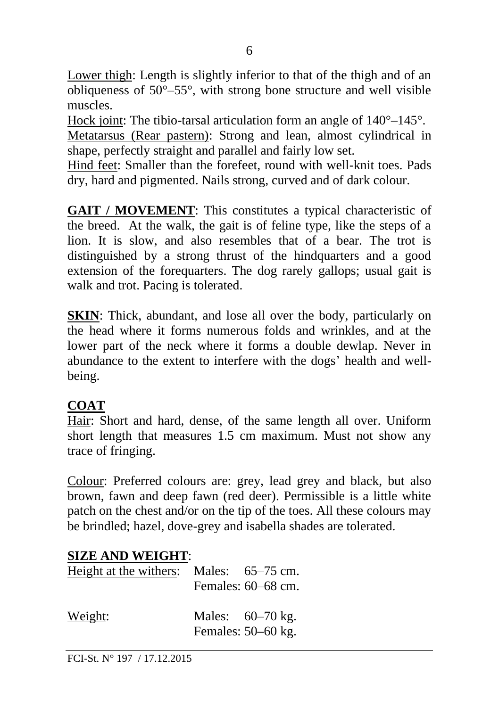Lower thigh: Length is slightly inferior to that of the thigh and of an obliqueness of 50°–55°, with strong bone structure and well visible muscles.

Hock joint: The tibio-tarsal articulation form an angle of  $140^{\circ}-145^{\circ}$ . Metatarsus (Rear pastern): Strong and lean, almost cylindrical in shape, perfectly straight and parallel and fairly low set.

Hind feet: Smaller than the forefeet, round with well-knit toes. Pads dry, hard and pigmented. Nails strong, curved and of dark colour.

**GAIT / MOVEMENT**: This constitutes a typical characteristic of the breed. At the walk, the gait is of feline type, like the steps of a lion. It is slow, and also resembles that of a bear. The trot is distinguished by a strong thrust of the hindquarters and a good extension of the forequarters. The dog rarely gallops; usual gait is walk and trot. Pacing is tolerated.

**SKIN**: Thick, abundant, and lose all over the body, particularly on the head where it forms numerous folds and wrinkles, and at the lower part of the neck where it forms a double dewlap. Never in abundance to the extent to interfere with the dogs' health and wellbeing.

# **COAT**

Hair: Short and hard, dense, of the same length all over. Uniform short length that measures 1.5 cm maximum. Must not show any trace of fringing.

Colour: Preferred colours are: grey, lead grey and black, but also brown, fawn and deep fawn (red deer). Permissible is a little white patch on the chest and/or on the tip of the toes. All these colours may be brindled; hazel, dove-grey and isabella shades are tolerated.

# **SIZE AND WEIGHT**:

| Height at the withers: Males: 65–75 cm. | Females: 60–68 cm.                         |
|-----------------------------------------|--------------------------------------------|
| Weight:                                 | Males: $60-70$ kg.<br>Females: $50-60$ kg. |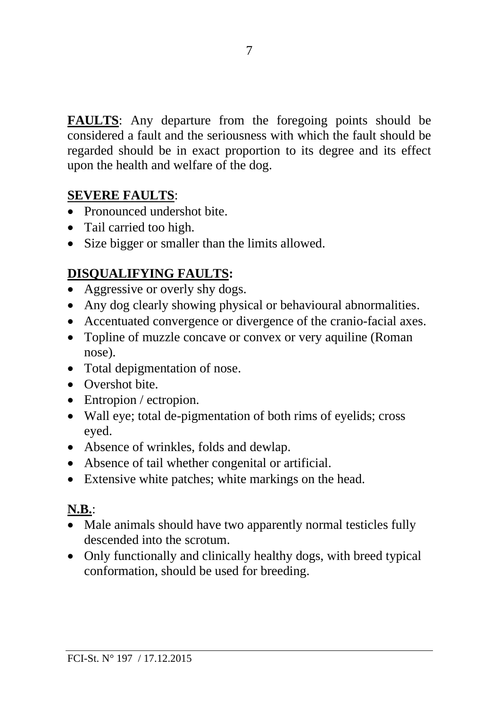**FAULTS**: Any departure from the foregoing points should be considered a fault and the seriousness with which the fault should be regarded should be in exact proportion to its degree and its effect upon the health and welfare of the dog.

### **SEVERE FAULTS**:

- Pronounced undershot bite.
- Tail carried too high.
- Size bigger or smaller than the limits allowed.

# **DISQUALIFYING FAULTS:**

- Aggressive or overly shy dogs.
- Any dog clearly showing physical or behavioural abnormalities.
- Accentuated convergence or divergence of the cranio-facial axes.
- Topline of muzzle concave or convex or very aquiline (Roman nose).
- Total depigmentation of nose.
- Overshot bite.
- Entropion / ectropion.
- Wall eye; total de-pigmentation of both rims of eyelids; cross eyed.
- Absence of wrinkles, folds and dewlap.
- Absence of tail whether congenital or artificial.
- Extensive white patches; white markings on the head.

## **N.B.**:

- Male animals should have two apparently normal testicles fully descended into the scrotum.
- Only functionally and clinically healthy dogs, with breed typical conformation, should be used for breeding.